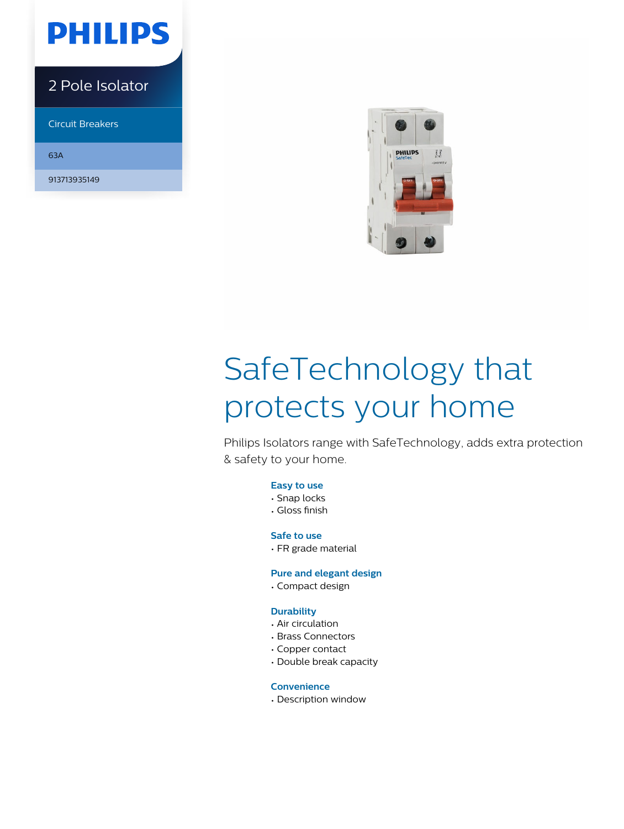

# 2 Pole Isolator

Circuit Breakers

63A

913713935149



# SafeTechnology that protects your home

Philips Isolators range with SafeTechnology, adds extra protection & safety to your home.

# **Easy to use**

- Snap locks
- Gloss finish

# **Safe to use**

• FR grade material

# **Pure and elegant design**

• Compact design

# **Durability**

- Air circulation
- Brass Connectors
- Copper contact
- Double break capacity

# **Convenience**

• Description window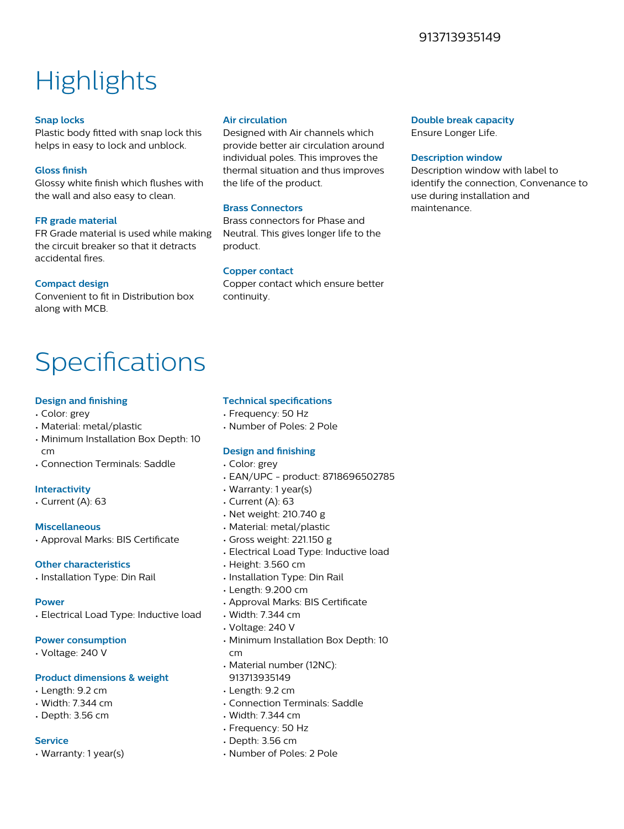# 913713935149

# **Highlights**

# **Snap locks**

Plastic body fitted with snap lock this helps in easy to lock and unblock.

# **Gloss finish**

Glossy white finish which flushes with the wall and also easy to clean.

# **FR grade material**

FR Grade material is used while making the circuit breaker so that it detracts accidental fires.

# **Compact design**

Convenient to fit in Distribution box along with MCB.

# **Air circulation**

Designed with Air channels which provide better air circulation around individual poles. This improves the thermal situation and thus improves the life of the product.

# **Brass Connectors**

Brass connectors for Phase and Neutral. This gives longer life to the product.

# **Copper contact**

Copper contact which ensure better continuity.

# **Double break capacity**

Ensure Longer Life.

#### **Description window**

Description window with label to identify the connection, Convenance to use during installation and maintenance.

# Specifications

# **Design and finishing**

- Color: grey
- Material: metal/plastic
- Minimum Installation Box Depth: 10 cm
- Connection Terminals: Saddle

# **Interactivity**

• Current (A): 63

# **Miscellaneous**

• Approval Marks: BIS Certificate

# **Other characteristics**

• Installation Type: Din Rail

# **Power**

• Electrical Load Type: Inductive load

# **Power consumption**

• Voltage: 240 V

# **Product dimensions & weight**

- Length: 9.2 cm
- Width: 7.344 cm
- Depth: 3.56 cm

# **Service**

• Warranty: 1 year(s)

# **Technical specifications**

- Frequency: 50 Hz
- Number of Poles: 2 Pole

# **Design and finishing**

- Color: grey
- EAN/UPC product: 8718696502785
- Warranty: 1 year(s)
- Current (A): 63
- Net weight: 210.740 g
- Material: metal/plastic
- Gross weight: 221.150 g
- Electrical Load Type: Inductive load
- Height: 3.560 cm
- Installation Type: Din Rail
- Length: 9.200 cm
- Approval Marks: BIS Certificate
- Width: 7.344 cm
- Voltage: 240 V
- Minimum Installation Box Depth: 10 cm
- Material number (12NC):
- 913713935149
- Length: 9.2 cm
- Connection Terminals: Saddle
- Width: 7.344 cm
- Frequency: 50 Hz
- Depth: 3.56 cm
- Number of Poles: 2 Pole